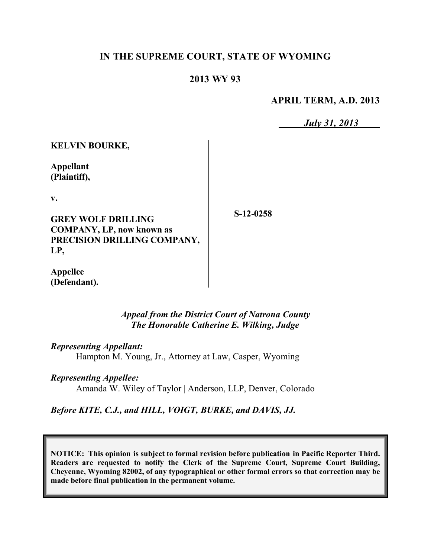# **IN THE SUPREME COURT, STATE OF WYOMING**

## **2013 WY 93**

**APRIL TERM, A.D. 2013**

*July 31, 2013*

**KELVIN BOURKE,**

**Appellant (Plaintiff),**

**v.**

**GREY WOLF DRILLING COMPANY, LP, now known as PRECISION DRILLING COMPANY, LP,**

**S-12-0258**

**Appellee (Defendant).**

> *Appeal from the District Court of Natrona County The Honorable Catherine E. Wilking, Judge*

*Representing Appellant:* Hampton M. Young, Jr., Attorney at Law, Casper, Wyoming

*Representing Appellee:*

Amanda W. Wiley of Taylor | Anderson, LLP, Denver, Colorado

*Before KITE, C.J., and HILL, VOIGT, BURKE, and DAVIS, JJ.*

**NOTICE: This opinion is subject to formal revision before publication in Pacific Reporter Third. Readers are requested to notify the Clerk of the Supreme Court, Supreme Court Building, Cheyenne, Wyoming 82002, of any typographical or other formal errors so that correction may be made before final publication in the permanent volume.**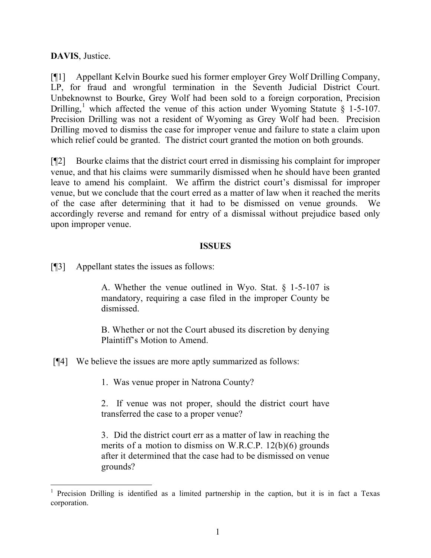**DAVIS**, Justice.

[¶1] Appellant Kelvin Bourke sued his former employer Grey Wolf Drilling Company, LP, for fraud and wrongful termination in the Seventh Judicial District Court. Unbeknownst to Bourke, Grey Wolf had been sold to a foreign corporation, Precision Drilling,<sup>1</sup> which affected the venue of this action under Wyoming Statute  $\S$  1-5-107. Precision Drilling was not a resident of Wyoming as Grey Wolf had been. Precision Drilling moved to dismiss the case for improper venue and failure to state a claim upon which relief could be granted. The district court granted the motion on both grounds.

[¶2] Bourke claims that the district court erred in dismissing his complaint for improper venue, and that his claims were summarily dismissed when he should have been granted leave to amend his complaint. We affirm the district court's dismissal for improper venue, but we conclude that the court erred as a matter of law when it reached the merits of the case after determining that it had to be dismissed on venue grounds. We accordingly reverse and remand for entry of a dismissal without prejudice based only upon improper venue.

### **ISSUES**

[¶3] Appellant states the issues as follows:

A. Whether the venue outlined in Wyo. Stat. § 1-5-107 is mandatory, requiring a case filed in the improper County be dismissed.

B. Whether or not the Court abused its discretion by denying Plaintiff's Motion to Amend.

[¶4] We believe the issues are more aptly summarized as follows:

1. Was venue proper in Natrona County?

2. If venue was not proper, should the district court have transferred the case to a proper venue?

3. Did the district court err as a matter of law in reaching the merits of a motion to dismiss on W.R.C.P. 12(b)(6) grounds after it determined that the case had to be dismissed on venue grounds?

<sup>&</sup>lt;sup>1</sup> Precision Drilling is identified as a limited partnership in the caption, but it is in fact a Texas corporation.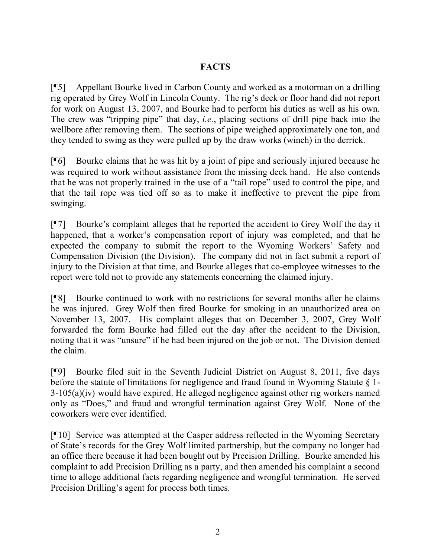# **FACTS**

[¶5] Appellant Bourke lived in Carbon County and worked as a motorman on a drilling rig operated by Grey Wolf in Lincoln County. The rig's deck or floor hand did not report for work on August 13, 2007, and Bourke had to perform his duties as well as his own. The crew was "tripping pipe" that day, *i.e.*, placing sections of drill pipe back into the wellbore after removing them. The sections of pipe weighed approximately one ton, and they tended to swing as they were pulled up by the draw works (winch) in the derrick.

[¶6] Bourke claims that he was hit by a joint of pipe and seriously injured because he was required to work without assistance from the missing deck hand. He also contends that he was not properly trained in the use of a "tail rope" used to control the pipe, and that the tail rope was tied off so as to make it ineffective to prevent the pipe from swinging.

[¶7] Bourke's complaint alleges that he reported the accident to Grey Wolf the day it happened, that a worker's compensation report of injury was completed, and that he expected the company to submit the report to the Wyoming Workers' Safety and Compensation Division (the Division). The company did not in fact submit a report of injury to the Division at that time, and Bourke alleges that co-employee witnesses to the report were told not to provide any statements concerning the claimed injury.

[¶8] Bourke continued to work with no restrictions for several months after he claims he was injured. Grey Wolf then fired Bourke for smoking in an unauthorized area on November 13, 2007. His complaint alleges that on December 3, 2007, Grey Wolf forwarded the form Bourke had filled out the day after the accident to the Division, noting that it was "unsure" if he had been injured on the job or not. The Division denied the claim.

[¶9] Bourke filed suit in the Seventh Judicial District on August 8, 2011, five days before the statute of limitations for negligence and fraud found in Wyoming Statute  $\S$  1-3-105(a)(iv) would have expired. He alleged negligence against other rig workers named only as "Does," and fraud and wrongful termination against Grey Wolf. None of the coworkers were ever identified.

[¶10] Service was attempted at the Casper address reflected in the Wyoming Secretary of State's records for the Grey Wolf limited partnership, but the company no longer had an office there because it had been bought out by Precision Drilling. Bourke amended his complaint to add Precision Drilling as a party, and then amended his complaint a second time to allege additional facts regarding negligence and wrongful termination. He served Precision Drilling's agent for process both times.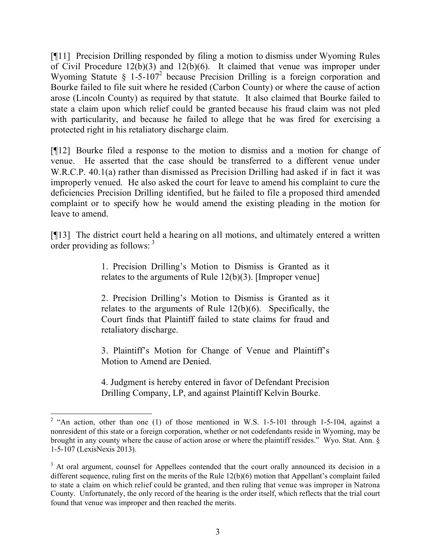[¶11] Precision Drilling responded by filing a motion to dismiss under Wyoming Rules of Civil Procedure 12(b)(3) and 12(b)(6). It claimed that venue was improper under Wyoming Statute §  $1-5-107^2$  because Precision Drilling is a foreign corporation and Bourke failed to file suit where he resided (Carbon County) or where the cause of action arose (Lincoln County) as required by that statute. It also claimed that Bourke failed to state a claim upon which relief could be granted because his fraud claim was not pled with particularity, and because he failed to allege that he was fired for exercising a protected right in his retaliatory discharge claim.

[¶12] Bourke filed a response to the motion to dismiss and a motion for change of venue. He asserted that the case should be transferred to a different venue under W.R.C.P. 40.1(a) rather than dismissed as Precision Drilling had asked if in fact it was improperly venued. He also asked the court for leave to amend his complaint to cure the deficiencies Precision Drilling identified, but he failed to file a proposed third amended complaint or to specify how he would amend the existing pleading in the motion for leave to amend.

[¶13] The district court held a hearing on all motions, and ultimately entered a written order providing as follows:  $3\frac{1}{2}$ 

> 1. Precision Drilling's Motion to Dismiss is Granted as it relates to the arguments of Rule 12(b)(3). [Improper venue]

> 2. Precision Drilling's Motion to Dismiss is Granted as it relates to the arguments of Rule 12(b)(6). Specifically, the Court finds that Plaintiff failed to state claims for fraud and retaliatory discharge.

> 3. Plaintiff's Motion for Change of Venue and Plaintiff's Motion to Amend are Denied.

> 4. Judgment is hereby entered in favor of Defendant Precision Drilling Company, LP, and against Plaintiff Kelvin Bourke.

<sup>&</sup>lt;sup>2</sup> "An action, other than one (1) of those mentioned in W.S. 1-5-101 through 1-5-104, against a nonresident of this state or a foreign corporation, whether or not codefendants reside in Wyoming, may be brought in any county where the cause of action arose or where the plaintiff resides." Wyo. Stat. Ann. § 1-5-107 (LexisNexis 2013).

<sup>&</sup>lt;sup>3</sup> At oral argument, counsel for Appellees contended that the court orally announced its decision in a different sequence, ruling first on the merits of the Rule 12(b)(6) motion that Appellant's complaint failed to state a claim on which relief could be granted, and then ruling that venue was improper in Natrona County. Unfortunately, the only record of the hearing is the order itself, which reflects that the trial court found that venue was improper and then reached the merits.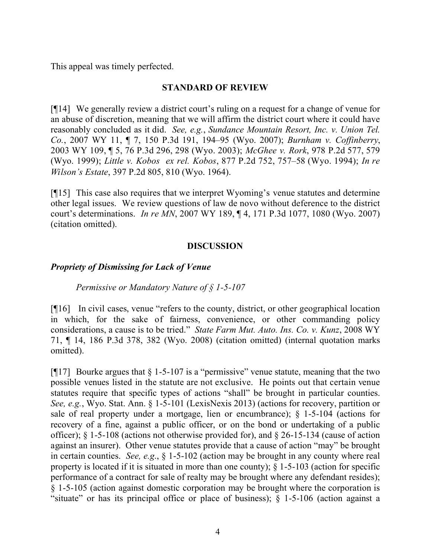This appeal was timely perfected.

### **STANDARD OF REVIEW**

[¶14] We generally review a district court's ruling on a request for a change of venue for an abuse of discretion, meaning that we will affirm the district court where it could have reasonably concluded as it did. *See, e.g.*, *Sundance Mountain Resort, Inc. v. Union Tel. Co.*, 2007 WY 11, ¶ 7, 150 P.3d 191, 194–95 (Wyo. 2007); *Burnham v. Coffinberry*, 2003 WY 109, ¶ 5, 76 P.3d 296, 298 (Wyo. 2003); *McGhee v. Rork*, 978 P.2d 577, 579 (Wyo. 1999); *Little v. Kobos ex rel. Kobos*, 877 P.2d 752, 757–58 (Wyo. 1994); *In re Wilson's Estate*, 397 P.2d 805, 810 (Wyo. 1964).

[¶15] This case also requires that we interpret Wyoming's venue statutes and determine other legal issues. We review questions of law de novo without deference to the district court's determinations. *In re MN*, 2007 WY 189, ¶ 4, 171 P.3d 1077, 1080 (Wyo. 2007) (citation omitted).

### **DISCUSSION**

## *Propriety of Dismissing for Lack of Venue*

#### *Permissive or Mandatory Nature of § 1-5-107*

[¶16] In civil cases, venue "refers to the county, district, or other geographical location in which, for the sake of fairness, convenience, or other commanding policy considerations, a cause is to be tried." *State Farm Mut. Auto. Ins. Co. v. Kunz*, 2008 WY 71, ¶ 14, 186 P.3d 378, 382 (Wyo. 2008) (citation omitted) (internal quotation marks omitted).

[ $[17]$ ] Bourke argues that § 1-5-107 is a "permissive" venue statute, meaning that the two possible venues listed in the statute are not exclusive. He points out that certain venue statutes require that specific types of actions "shall" be brought in particular counties. *See, e.g.*, Wyo. Stat. Ann. § 1-5-101 (LexisNexis 2013) (actions for recovery, partition or sale of real property under a mortgage, lien or encumbrance); § 1-5-104 (actions for recovery of a fine, against a public officer, or on the bond or undertaking of a public officer); § 1-5-108 (actions not otherwise provided for), and § 26-15-134 (cause of action against an insurer). Other venue statutes provide that a cause of action "may" be brought in certain counties. *See, e.g*., § 1-5-102 (action may be brought in any county where real property is located if it is situated in more than one county); § 1-5-103 (action for specific performance of a contract for sale of realty may be brought where any defendant resides); § 1-5-105 (action against domestic corporation may be brought where the corporation is "situate" or has its principal office or place of business);  $\S$  1-5-106 (action against a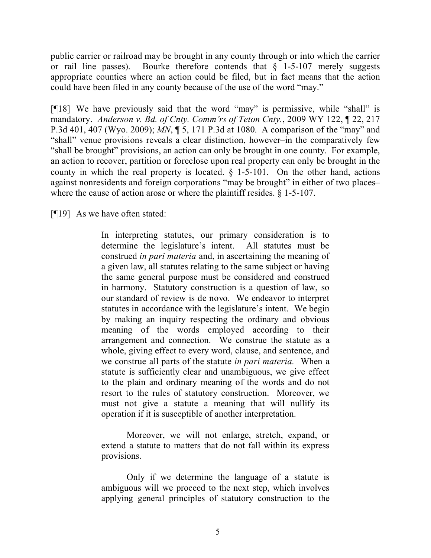public carrier or railroad may be brought in any county through or into which the carrier or rail line passes). Bourke therefore contends that  $\S$  1-5-107 merely suggests appropriate counties where an action could be filed, but in fact means that the action could have been filed in any county because of the use of the word "may."

[¶18] We have previously said that the word "may" is permissive, while "shall" is mandatory. *Anderson v. Bd. of Cnty. Comm'rs of Teton Cnty.*, 2009 WY 122, ¶ 22, 217 P.3d 401, 407 (Wyo. 2009); *MN*, ¶ 5, 171 P.3d at 1080. A comparison of the "may" and "shall" venue provisions reveals a clear distinction, however–in the comparatively few "shall be brought" provisions, an action can only be brought in one county. For example, an action to recover, partition or foreclose upon real property can only be brought in the county in which the real property is located. § 1-5-101. On the other hand, actions against nonresidents and foreign corporations "may be brought" in either of two places– where the cause of action arose or where the plaintiff resides.  $\S$  1-5-107.

[¶19] As we have often stated:

In interpreting statutes, our primary consideration is to determine the legislature's intent. All statutes must be construed *in pari materia* and, in ascertaining the meaning of a given law, all statutes relating to the same subject or having the same general purpose must be considered and construed in harmony. Statutory construction is a question of law, so our standard of review is de novo. We endeavor to interpret statutes in accordance with the legislature's intent. We begin by making an inquiry respecting the ordinary and obvious meaning of the words employed according to their arrangement and connection. We construe the statute as a whole, giving effect to every word, clause, and sentence, and we construe all parts of the statute *in pari materia.* When a statute is sufficiently clear and unambiguous, we give effect to the plain and ordinary meaning of the words and do not resort to the rules of statutory construction. Moreover, we must not give a statute a meaning that will nullify its operation if it is susceptible of another interpretation.

Moreover, we will not enlarge, stretch, expand, or extend a statute to matters that do not fall within its express provisions.

Only if we determine the language of a statute is ambiguous will we proceed to the next step, which involves applying general principles of statutory construction to the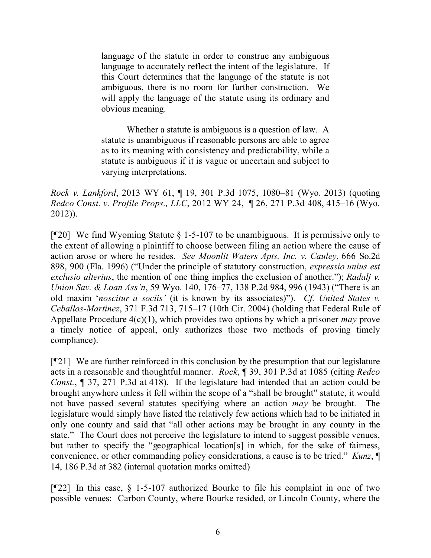language of the statute in order to construe any ambiguous language to accurately reflect the intent of the legislature. If this Court determines that the language of the statute is not ambiguous, there is no room for further construction. We will apply the language of the statute using its ordinary and obvious meaning.

Whether a statute is ambiguous is a question of law. A statute is unambiguous if reasonable persons are able to agree as to its meaning with consistency and predictability, while a statute is ambiguous if it is vague or uncertain and subject to varying interpretations.

*Rock v. Lankford*, 2013 WY 61, ¶ 19, 301 P.3d 1075, 1080–81 (Wyo. 2013) (quoting *Redco Const. v. Profile Props., LLC*, 2012 WY 24, ¶ 26, 271 P.3d 408, 415–16 (Wyo. 2012)).

[¶20] We find Wyoming Statute § 1-5-107 to be unambiguous. It is permissive only to the extent of allowing a plaintiff to choose between filing an action where the cause of action arose or where he resides. *See Moonlit Waters Apts. Inc. v. Cauley*, 666 So.2d 898, 900 (Fla. 1996) ("Under the principle of statutory construction, *expressio unius est exclusio alterius*, the mention of one thing implies the exclusion of another."); *Radalj v. Union Sav. & Loan Ass'n*, 59 Wyo. 140, 176–77, 138 P.2d 984, 996 (1943) ("There is an old maxim '*noscitur a sociis'* (it is known by its associates)"). *Cf. United States v. Ceballos-Martinez*, 371 F.3d 713, 715–17 (10th Cir. 2004) (holding that Federal Rule of Appellate Procedure 4(c)(1), which provides two options by which a prisoner *may* prove a timely notice of appeal, only authorizes those two methods of proving timely compliance).

[¶21] We are further reinforced in this conclusion by the presumption that our legislature acts in a reasonable and thoughtful manner. *Rock*, ¶ 39, 301 P.3d at 1085 (citing *Redco Const.*, ¶ 37, 271 P.3d at 418). If the legislature had intended that an action could be brought anywhere unless it fell within the scope of a "shall be brought" statute, it would not have passed several statutes specifying where an action *may* be brought. The legislature would simply have listed the relatively few actions which had to be initiated in only one county and said that "all other actions may be brought in any county in the state." The Court does not perceive the legislature to intend to suggest possible venues, but rather to specify the "geographical location[s] in which, for the sake of fairness, convenience, or other commanding policy considerations, a cause is to be tried." *Kunz*, ¶ 14, 186 P.3d at 382 (internal quotation marks omitted)

[¶22] In this case, § 1-5-107 authorized Bourke to file his complaint in one of two possible venues: Carbon County, where Bourke resided, or Lincoln County, where the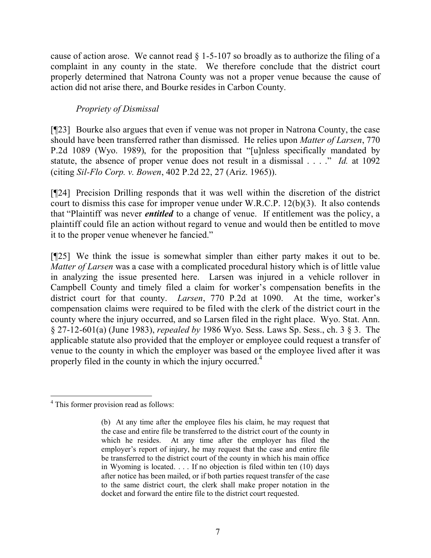cause of action arose. We cannot read  $\S$  1-5-107 so broadly as to authorize the filing of a complaint in any county in the state. We therefore conclude that the district court properly determined that Natrona County was not a proper venue because the cause of action did not arise there, and Bourke resides in Carbon County.

## *Propriety of Dismissal*

[¶23] Bourke also argues that even if venue was not proper in Natrona County, the case should have been transferred rather than dismissed. He relies upon *Matter of Larsen*, 770 P.2d 1089 (Wyo. 1989), for the proposition that "[u]nless specifically mandated by statute, the absence of proper venue does not result in a dismissal . . . ." *Id.* at 1092 (citing *Sil-Flo Corp. v. Bowen*, 402 P.2d 22, 27 (Ariz. 1965)).

[¶24] Precision Drilling responds that it was well within the discretion of the district court to dismiss this case for improper venue under W.R.C.P. 12(b)(3). It also contends that "Plaintiff was never *entitled* to a change of venue. If entitlement was the policy, a plaintiff could file an action without regard to venue and would then be entitled to move it to the proper venue whenever he fancied."

[¶25] We think the issue is somewhat simpler than either party makes it out to be. *Matter of Larsen* was a case with a complicated procedural history which is of little value in analyzing the issue presented here. Larsen was injured in a vehicle rollover in Campbell County and timely filed a claim for worker's compensation benefits in the district court for that county. *Larsen*, 770 P.2d at 1090. At the time, worker's compensation claims were required to be filed with the clerk of the district court in the county where the injury occurred, and so Larsen filed in the right place. Wyo. Stat. Ann. § 27-12-601(a) (June 1983), *repealed by* 1986 Wyo. Sess. Laws Sp. Sess., ch. 3 § 3. The applicable statute also provided that the employer or employee could request a transfer of venue to the county in which the employer was based or the employee lived after it was properly filed in the county in which the injury occurred.<sup>4</sup>

 $\overline{a}$ <sup>4</sup> This former provision read as follows:

<sup>(</sup>b) At any time after the employee files his claim, he may request that the case and entire file be transferred to the district court of the county in which he resides. At any time after the employer has filed the employer's report of injury, he may request that the case and entire file be transferred to the district court of the county in which his main office in Wyoming is located. . . . If no objection is filed within ten (10) days after notice has been mailed, or if both parties request transfer of the case to the same district court, the clerk shall make proper notation in the docket and forward the entire file to the district court requested.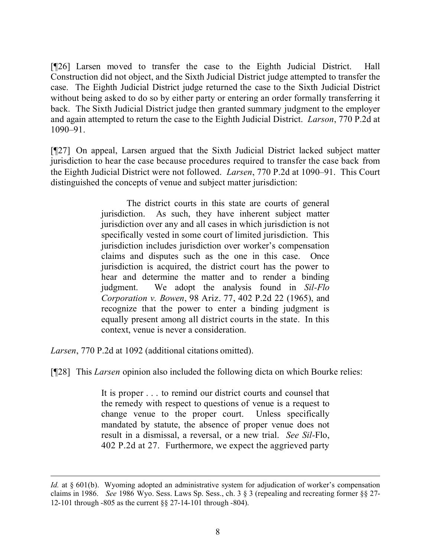[¶26] Larsen moved to transfer the case to the Eighth Judicial District. Hall Construction did not object, and the Sixth Judicial District judge attempted to transfer the case. The Eighth Judicial District judge returned the case to the Sixth Judicial District without being asked to do so by either party or entering an order formally transferring it back. The Sixth Judicial District judge then granted summary judgment to the employer and again attempted to return the case to the Eighth Judicial District. *Larson*, 770 P.2d at 1090–91.

[¶27] On appeal, Larsen argued that the Sixth Judicial District lacked subject matter jurisdiction to hear the case because procedures required to transfer the case back from the Eighth Judicial District were not followed. *Larsen*, 770 P.2d at 1090–91. This Court distinguished the concepts of venue and subject matter jurisdiction:

> The district courts in this state are courts of general jurisdiction. As such, they have inherent subject matter jurisdiction over any and all cases in which jurisdiction is not specifically vested in some court of limited jurisdiction. This jurisdiction includes jurisdiction over worker's compensation claims and disputes such as the one in this case. Once jurisdiction is acquired, the district court has the power to hear and determine the matter and to render a binding judgment. We adopt the analysis found in *Sil-Flo Corporation v. Bowen*, 98 Ariz. 77, 402 P.2d 22 (1965), and recognize that the power to enter a binding judgment is equally present among all district courts in the state. In this context, venue is never a consideration.

*Larsen*, 770 P.2d at 1092 (additional citations omitted).

[¶28] This *Larsen* opinion also included the following dicta on which Bourke relies:

It is proper . . . to remind our district courts and counsel that the remedy with respect to questions of venue is a request to change venue to the proper court. Unless specifically mandated by statute, the absence of proper venue does not result in a dismissal, a reversal, or a new trial. *See Sil-*Flo, 402 P.2d at 27. Furthermore, we expect the aggrieved party

*Id.* at § 601(b). Wyoming adopted an administrative system for adjudication of worker's compensation claims in 1986. *See* 1986 Wyo. Sess. Laws Sp. Sess., ch. 3 § 3 (repealing and recreating former §§ 27- 12-101 through -805 as the current §§ 27-14-101 through -804).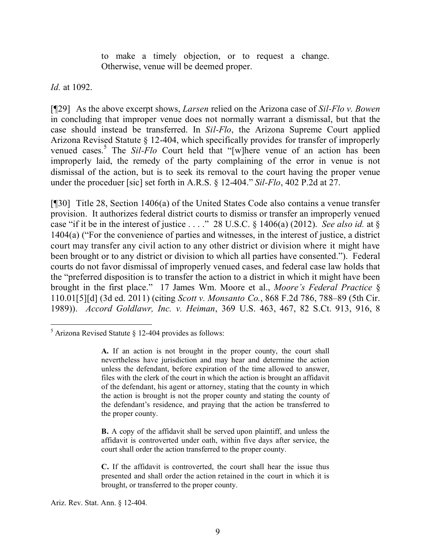to make a timely objection, or to request a change. Otherwise, venue will be deemed proper.

*Id.* at 1092.

[¶29] As the above excerpt shows, *Larsen* relied on the Arizona case of *Sil-Flo v. Bowen*  in concluding that improper venue does not normally warrant a dismissal, but that the case should instead be transferred. In *Sil-Flo*, the Arizona Supreme Court applied Arizona Revised Statute § 12-404, which specifically provides for transfer of improperly venued cases.<sup>5</sup> The *Sil-Flo* Court held that "[w]here venue of an action has been improperly laid, the remedy of the party complaining of the error in venue is not dismissal of the action, but is to seek its removal to the court having the proper venue under the proceduer [sic] set forth in A.R.S. § 12-404." *Sil-Flo*, 402 P.2d at 27.

[¶30] Title 28, Section 1406(a) of the United States Code also contains a venue transfer provision. It authorizes federal district courts to dismiss or transfer an improperly venued case "if it be in the interest of justice . . . ." 28 U.S.C. § 1406(a) (2012). *See also id.* at § 1404(a) ("For the convenience of parties and witnesses, in the interest of justice, a district court may transfer any civil action to any other district or division where it might have been brought or to any district or division to which all parties have consented."). Federal courts do not favor dismissal of improperly venued cases, and federal case law holds that the "preferred disposition is to transfer the action to a district in which it might have been brought in the first place." 17 James Wm. Moore et al., *Moore's Federal Practice* § 110.01[5][d] (3d ed. 2011) (citing *Scott v. Monsanto Co.*, 868 F.2d 786, 788–89 (5th Cir. 1989)). *Accord Goldlawr, Inc. v. Heiman*, 369 U.S. 463, 467, 82 S.Ct. 913, 916, 8

**B.** A copy of the affidavit shall be served upon plaintiff, and unless the affidavit is controverted under oath, within five days after service, the court shall order the action transferred to the proper county.

**C.** If the affidavit is controverted, the court shall hear the issue thus presented and shall order the action retained in the court in which it is brought, or transferred to the proper county.

Ariz. Rev. Stat. Ann. § 12-404.

  $<sup>5</sup>$  Arizona Revised Statute § 12-404 provides as follows:</sup>

**A.** If an action is not brought in the proper county, the court shall nevertheless have jurisdiction and may hear and determine the action unless the defendant, before expiration of the time allowed to answer, files with the clerk of the court in which the action is brought an affidavit of the defendant, his agent or attorney, stating that the county in which the action is brought is not the proper county and stating the county of the defendant's residence, and praying that the action be transferred to the proper county.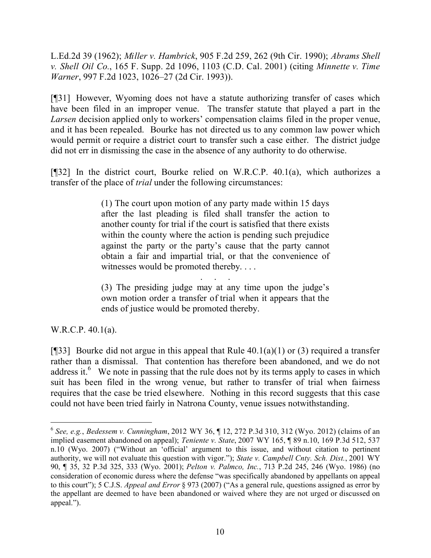L.Ed.2d 39 (1962); *Miller v. Hambrick*, 905 F.2d 259, 262 (9th Cir. 1990); *Abrams Shell v. Shell Oil Co.*, 165 F. Supp. 2d 1096, 1103 (C.D. Cal. 2001) (citing *Minnette v. Time Warner*, 997 F.2d 1023, 1026–27 (2d Cir. 1993)).

[¶31] However, Wyoming does not have a statute authorizing transfer of cases which have been filed in an improper venue. The transfer statute that played a part in the *Larsen* decision applied only to workers' compensation claims filed in the proper venue, and it has been repealed. Bourke has not directed us to any common law power which would permit or require a district court to transfer such a case either. The district judge did not err in dismissing the case in the absence of any authority to do otherwise.

[¶32] In the district court, Bourke relied on W.R.C.P. 40.1(a), which authorizes a transfer of the place of *trial* under the following circumstances:

> (1) The court upon motion of any party made within 15 days after the last pleading is filed shall transfer the action to another county for trial if the court is satisfied that there exists within the county where the action is pending such prejudice against the party or the party's cause that the party cannot obtain a fair and impartial trial, or that the convenience of witnesses would be promoted thereby. . . .

> . . . . .<br>. . . . . . (3) The presiding judge may at any time upon the judge's own motion order a transfer of trial when it appears that the ends of justice would be promoted thereby.

W.R.C.P. 40.1(a).

 $\overline{a}$ 

[ $[$ ][33] Bourke did not argue in this appeal that Rule 40.1(a)(1) or (3) required a transfer rather than a dismissal. That contention has therefore been abandoned, and we do not address it.<sup>6</sup> We note in passing that the rule does not by its terms apply to cases in which suit has been filed in the wrong venue, but rather to transfer of trial when fairness requires that the case be tried elsewhere. Nothing in this record suggests that this case could not have been tried fairly in Natrona County, venue issues notwithstanding.

<sup>6</sup> *See, e.g.*, *Bedessem v. Cunningham*, 2012 WY 36, ¶ 12, 272 P.3d 310, 312 (Wyo. 2012) (claims of an implied easement abandoned on appeal); *Teniente v. State*, 2007 WY 165, ¶ 89 n.10, 169 P.3d 512, 537 n.10 (Wyo. 2007) ("Without an 'official' argument to this issue, and without citation to pertinent authority, we will not evaluate this question with vigor."); *State v. Campbell Cnty. Sch. Dist.*, 2001 WY 90, ¶ 35, 32 P.3d 325, 333 (Wyo. 2001); *Pelton v. Palmco, Inc.*, 713 P.2d 245, 246 (Wyo. 1986) (no consideration of economic duress where the defense "was specifically abandoned by appellants on appeal to this court"); 5 C.J.S. *Appeal and Error* § 973 (2007) ("As a general rule, questions assigned as error by the appellant are deemed to have been abandoned or waived where they are not urged or discussed on appeal.").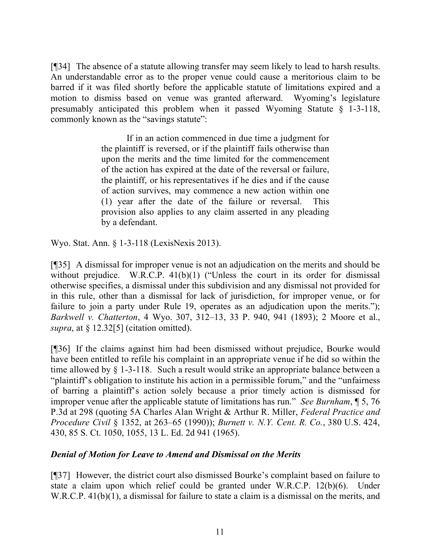[¶34] The absence of a statute allowing transfer may seem likely to lead to harsh results. An understandable error as to the proper venue could cause a meritorious claim to be barred if it was filed shortly before the applicable statute of limitations expired and a motion to dismiss based on venue was granted afterward. Wyoming's legislature presumably anticipated this problem when it passed Wyoming Statute § 1-3-118, commonly known as the "savings statute":

> If in an action commenced in due time a judgment for the plaintiff is reversed, or if the plaintiff fails otherwise than upon the merits and the time limited for the commencement of the action has expired at the date of the reversal or failure, the plaintiff, or his representatives if he dies and if the cause of action survives, may commence a new action within one (1) year after the date of the failure or reversal. This provision also applies to any claim asserted in any pleading by a defendant.

Wyo. Stat. Ann. § 1-3-118 (LexisNexis 2013).

[¶35] A dismissal for improper venue is not an adjudication on the merits and should be without prejudice. W.R.C.P. 41(b)(1) ("Unless the court in its order for dismissal otherwise specifies, a dismissal under this subdivision and any dismissal not provided for in this rule, other than a dismissal for lack of jurisdiction, for improper venue, or for failure to join a party under Rule 19, operates as an adjudication upon the merits."); *Barkwell v. Chatterton*, 4 Wyo. 307, 312–13, 33 P. 940, 941 (1893); 2 Moore et al., *supra*, at § 12.32[5] (citation omitted).

[¶36] If the claims against him had been dismissed without prejudice, Bourke would have been entitled to refile his complaint in an appropriate venue if he did so within the time allowed by § 1-3-118. Such a result would strike an appropriate balance between a "plaintiff's obligation to institute his action in a permissible forum," and the "unfairness of barring a plaintiff's action solely because a prior timely action is dismissed for improper venue after the applicable statute of limitations has run." *See Burnham*, ¶ 5, 76 P.3d at 298 (quoting 5A Charles Alan Wright & Arthur R. Miller, *Federal Practice and Procedure Civil* § 1352, at 263–65 (1990)); *Burnett v. N.Y. Cent. R. Co.*, 380 U.S. 424, 430, 85 S. Ct. 1050, 1055, 13 L. Ed. 2d 941 (1965).

## *Denial of Motion for Leave to Amend and Dismissal on the Merits*

[¶37] However, the district court also dismissed Bourke's complaint based on failure to state a claim upon which relief could be granted under W.R.C.P. 12(b)(6). Under W.R.C.P. 41(b)(1), a dismissal for failure to state a claim is a dismissal on the merits, and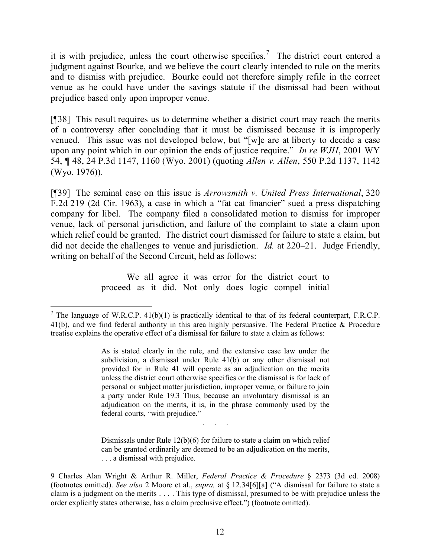it is with prejudice, unless the court otherwise specifies.<sup>7</sup> The district court entered a judgment against Bourke, and we believe the court clearly intended to rule on the merits and to dismiss with prejudice. Bourke could not therefore simply refile in the correct venue as he could have under the savings statute if the dismissal had been without prejudice based only upon improper venue.

[¶38] This result requires us to determine whether a district court may reach the merits of a controversy after concluding that it must be dismissed because it is improperly venued. This issue was not developed below, but "[w]e are at liberty to decide a case upon any point which in our opinion the ends of justice require." *In re WJH*, 2001 WY 54, ¶ 48, 24 P.3d 1147, 1160 (Wyo. 2001) (quoting *Allen v. Allen*, 550 P.2d 1137, 1142 (Wyo. 1976)).

[¶39] The seminal case on this issue is *Arrowsmith v. United Press International*, 320 F.2d 219 (2d Cir. 1963), a case in which a "fat cat financier" sued a press dispatching company for libel. The company filed a consolidated motion to dismiss for improper venue, lack of personal jurisdiction, and failure of the complaint to state a claim upon which relief could be granted. The district court dismissed for failure to state a claim, but did not decide the challenges to venue and jurisdiction. *Id.* at 220–21. Judge Friendly, writing on behalf of the Second Circuit, held as follows:

> We all agree it was error for the district court to proceed as it did. Not only does logic compel initial

 $\overline{a}$ 

Dismissals under Rule 12(b)(6) for failure to state a claim on which relief can be granted ordinarily are deemed to be an adjudication on the merits, . . . a dismissal with prejudice.

. . . . .<br>. . . . . .

<sup>&</sup>lt;sup>7</sup> The language of W.R.C.P. 41(b)(1) is practically identical to that of its federal counterpart, F.R.C.P. 41(b), and we find federal authority in this area highly persuasive. The Federal Practice & Procedure treatise explains the operative effect of a dismissal for failure to state a claim as follows:

As is stated clearly in the rule, and the extensive case law under the subdivision, a dismissal under Rule 41(b) or any other dismissal not provided for in Rule 41 will operate as an adjudication on the merits unless the district court otherwise specifies or the dismissal is for lack of personal or subject matter jurisdiction, improper venue, or failure to join a party under Rule 19.3 Thus, because an involuntary dismissal is an adjudication on the merits, it is, in the phrase commonly used by the federal courts, "with prejudice."

<sup>9</sup> Charles Alan Wright & Arthur R. Miller, *Federal Practice & Procedure* § 2373 (3d ed. 2008) (footnotes omitted). *See also* 2 Moore et al., *supra,* at § 12.34[6][a] ("A dismissal for failure to state a claim is a judgment on the merits . . . . This type of dismissal, presumed to be with prejudice unless the order explicitly states otherwise, has a claim preclusive effect.") (footnote omitted).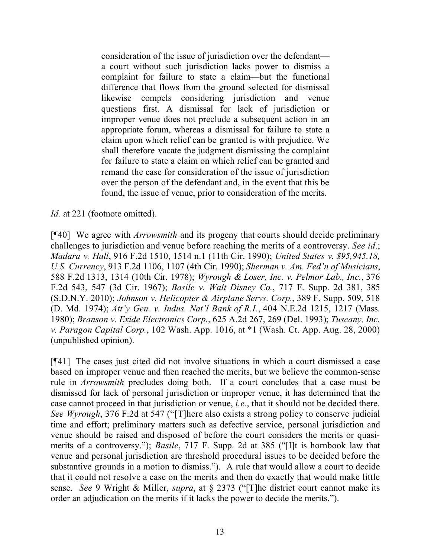consideration of the issue of jurisdiction over the defendant a court without such jurisdiction lacks power to dismiss a complaint for failure to state a claim—but the functional difference that flows from the ground selected for dismissal likewise compels considering jurisdiction and venue questions first. A dismissal for lack of jurisdiction or improper venue does not preclude a subsequent action in an appropriate forum, whereas a dismissal for failure to state a claim upon which relief can be granted is with prejudice. We shall therefore vacate the judgment dismissing the complaint for failure to state a claim on which relief can be granted and remand the case for consideration of the issue of jurisdiction over the person of the defendant and, in the event that this be found, the issue of venue, prior to consideration of the merits.

*Id.* at 221 (footnote omitted).

[¶40] We agree with *Arrowsmith* and its progeny that courts should decide preliminary challenges to jurisdiction and venue before reaching the merits of a controversy. *See id.*; *Madara v. Hall*, 916 F.2d 1510, 1514 n.1 (11th Cir. 1990); *United States v. \$95,945.18, U.S. Currency*, 913 F.2d 1106, 1107 (4th Cir. 1990); *Sherman v. Am. Fed'n of Musicians*, 588 F.2d 1313, 1314 (10th Cir. 1978); *Wyrough & Loser, Inc. v. Pelmor Lab., Inc.*, 376 F.2d 543, 547 (3d Cir. 1967); *Basile v. Walt Disney Co.*, 717 F. Supp. 2d 381, 385 (S.D.N.Y. 2010); *Johnson v. Helicopter & Airplane Servs. Corp.*, 389 F. Supp. 509, 518 (D. Md. 1974); *Att'y Gen. v. Indus. Nat'l Bank of R.I.*, 404 N.E.2d 1215, 1217 (Mass. 1980); *Branson v. Exide Electronics Corp.*, 625 A.2d 267, 269 (Del. 1993); *Tuscany, Inc. v. Paragon Capital Corp.*, 102 Wash. App. 1016, at \*1 (Wash. Ct. App. Aug. 28, 2000) (unpublished opinion).

[¶41] The cases just cited did not involve situations in which a court dismissed a case based on improper venue and then reached the merits, but we believe the common-sense rule in *Arrowsmith* precludes doing both. If a court concludes that a case must be dismissed for lack of personal jurisdiction or improper venue, it has determined that the case cannot proceed in that jurisdiction or venue, *i.e.*, that it should not be decided there. *See Wyrough*, 376 F.2d at 547 ("[T]here also exists a strong policy to conserve judicial time and effort; preliminary matters such as defective service, personal jurisdiction and venue should be raised and disposed of before the court considers the merits or quasimerits of a controversy."); *Basile*, 717 F. Supp. 2d at 385 ("[I]t is hornbook law that venue and personal jurisdiction are threshold procedural issues to be decided before the substantive grounds in a motion to dismiss."). A rule that would allow a court to decide that it could not resolve a case on the merits and then do exactly that would make little sense. *See* 9 Wright & Miller, *supra*, at § 2373 ("[T]he district court cannot make its order an adjudication on the merits if it lacks the power to decide the merits.").